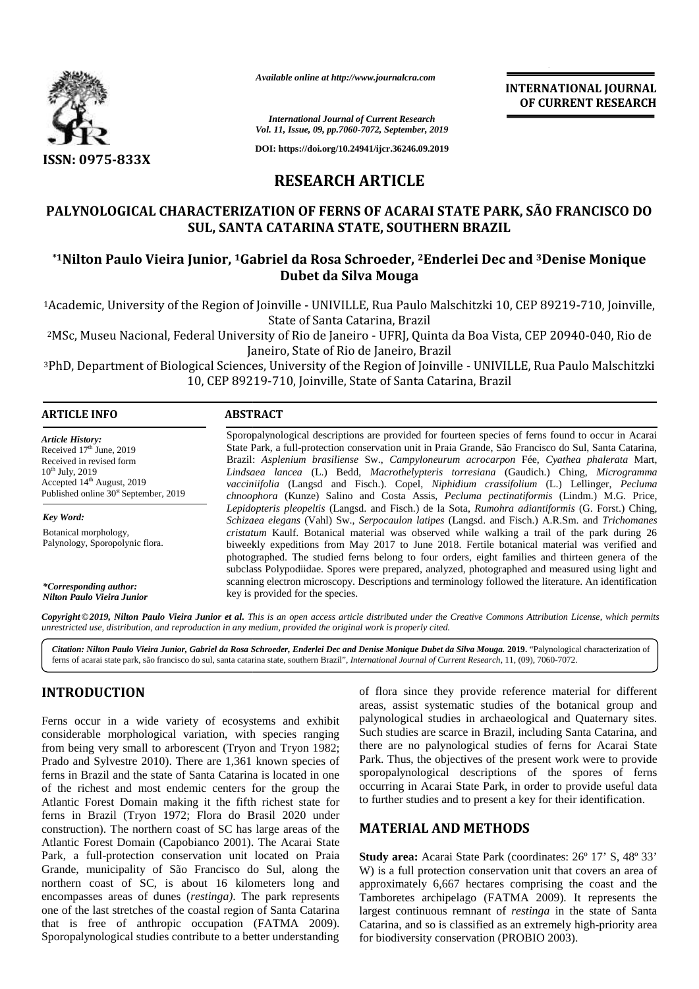

*Available online at http://www.journalcra.com*

**INTERNATIONAL JOURNAL OF CURRENT RESEARCH INTERNATIONALRESEARCH**

*International Journal of Current Research Vol. 11, Issue, 09, pp.7060-7072, September, 2019*

# **RESEARCH ARTICLE RESEARCH**

## **PALYNOLOGICAL CHARACTERIZATION OF FERNS OF ACARAI STATE PARK, SÃO FRANCISCO DO STATE PARK, DOSUL, SANTA CATARINA STATE, SOUTHERN BRAZIL**

## **\*1Nilton Paulo Vieira Junior, <sup>1</sup>Gabriel da Rosa Schroeder, <sup>2</sup>Enderlei Dec and <sup>3</sup>Denise Monique 3Dubet da Silva Mouga Dubet**

|                                                                                                                                                                                         |                                  | Vol. 11, Issue, 09, pp.7060-7072, September, 2019                                                                                                                                                                                                                                                                                                                                                                                                                                                                                                                                        |  |  |  |  |  |  |  |
|-----------------------------------------------------------------------------------------------------------------------------------------------------------------------------------------|----------------------------------|------------------------------------------------------------------------------------------------------------------------------------------------------------------------------------------------------------------------------------------------------------------------------------------------------------------------------------------------------------------------------------------------------------------------------------------------------------------------------------------------------------------------------------------------------------------------------------------|--|--|--|--|--|--|--|
| ISSN: 0975-833X                                                                                                                                                                         |                                  | DOI: https://doi.org/10.24941/ijcr.36246.09.2019                                                                                                                                                                                                                                                                                                                                                                                                                                                                                                                                         |  |  |  |  |  |  |  |
|                                                                                                                                                                                         |                                  | <b>RESEARCH ARTICLE</b>                                                                                                                                                                                                                                                                                                                                                                                                                                                                                                                                                                  |  |  |  |  |  |  |  |
|                                                                                                                                                                                         |                                  | PALYNOLOGICAL CHARACTERIZATION OF FERNS OF ACARAI STATE PARK, SÃO FRANCISCO DO<br>SUL, SANTA CATARINA STATE, SOUTHERN BRAZIL                                                                                                                                                                                                                                                                                                                                                                                                                                                             |  |  |  |  |  |  |  |
|                                                                                                                                                                                         |                                  | *1Nilton Paulo Vieira Junior, <sup>1</sup> Gabriel da Rosa Schroeder, <sup>2</sup> Enderlei Dec and <sup>3</sup> Denise Monique<br>Dubet da Silva Mouga                                                                                                                                                                                                                                                                                                                                                                                                                                  |  |  |  |  |  |  |  |
|                                                                                                                                                                                         |                                  | <sup>1</sup> Academic, University of the Region of Joinville - UNIVILLE, Rua Paulo Malschitzki 10, CEP 89219-710, Joinville,<br>State of Santa Catarina, Brazil                                                                                                                                                                                                                                                                                                                                                                                                                          |  |  |  |  |  |  |  |
|                                                                                                                                                                                         |                                  | <sup>2</sup> MSc, Museu Nacional, Federal University of Rio de Janeiro - UFRJ, Quinta da Boa Vista, CEP 20940-040, Rio de<br>Janeiro, State of Rio de Janeiro, Brazil                                                                                                                                                                                                                                                                                                                                                                                                                    |  |  |  |  |  |  |  |
|                                                                                                                                                                                         |                                  | <sup>3</sup> PhD, Department of Biological Sciences, University of the Region of Joinville - UNIVILLE, Rua Paulo Malschitzki<br>10, CEP 89219-710, Joinville, State of Santa Catarina, Brazil                                                                                                                                                                                                                                                                                                                                                                                            |  |  |  |  |  |  |  |
| <b>ARTICLE INFO</b>                                                                                                                                                                     | <b>ABSTRACT</b>                  |                                                                                                                                                                                                                                                                                                                                                                                                                                                                                                                                                                                          |  |  |  |  |  |  |  |
| Article History:<br>Received 17th June, 2019<br>Received in revised form<br>$10^{th}$ July, 2019<br>Accepted 14th August, 2019<br>Published online 30 <sup>st</sup> September, 2019     |                                  | Sporopalynological descriptions are provided for fourteen species of ferns found to occur in Acarai<br>State Park, a full-protection conservation unit in Praia Grande, São Francisco do Sul, Santa Catarina,<br>Brazil: Asplenium brasiliense Sw., Campyloneurum acrocarpon Fée, Cyathea phalerata Mart,<br>Lindsaea lancea (L.) Bedd, Macrothelypteris torresiana (Gaudich.) Ching, Microgramma<br>vacciniifolia (Langsd and Fisch.). Copel, Niphidium crassifolium (L.) Lellinger, Pecluma<br>chnoophora (Kunze) Salino and Costa Assis, Pecluma pectinatiformis (Lindm.) M.G. Price, |  |  |  |  |  |  |  |
| Key Word:                                                                                                                                                                               |                                  | Lepidopteris pleopeltis (Langsd. and Fisch.) de la Sota, Rumohra adiantiformis (G. Forst.) Ching,<br>Schizaea elegans (Vahl) Sw., Serpocaulon latipes (Langsd. and Fisch.) A.R.Sm. and Trichomanes                                                                                                                                                                                                                                                                                                                                                                                       |  |  |  |  |  |  |  |
| Botanical morphology,<br>Palynology, Sporopolynic flora.                                                                                                                                |                                  | cristatum Kaulf. Botanical material was observed while walking a trail of the park during 26<br>biweekly expeditions from May 2017 to June 2018. Fertile botanical material was verified and<br>photographed. The studied ferns belong to four orders, eight families and thirteen genera of the<br>subclass Polypodiidae. Spores were prepared, analyzed, photographed and measured using light and<br>scanning electron microscopy. Descriptions and terminology followed the literature. An identification                                                                            |  |  |  |  |  |  |  |
| *Corresponding author:<br>Nilton Paulo Vieira Junior                                                                                                                                    | key is provided for the species. |                                                                                                                                                                                                                                                                                                                                                                                                                                                                                                                                                                                          |  |  |  |  |  |  |  |
| unrestricted use, distribution, and reproduction in any medium, provided the original work is properly cited.                                                                           |                                  | Copyright © 2019, Nilton Paulo Vieira Junior et al. This is an open access article distributed under the Creative Commons Attribution License, which permits                                                                                                                                                                                                                                                                                                                                                                                                                             |  |  |  |  |  |  |  |
|                                                                                                                                                                                         |                                  | Citation: Nilton Paulo Vieira Junior, Gabriel da Rosa Schroeder, Enderlei Dec and Denise Monique Dubet da Silva Mouga. 2019. "Palynological characterization of<br>ferns of acarai state park, são francisco do sul, santa catarina state, southern Brazil", International Journal of Current Research, 11, (09), 7060-7072.                                                                                                                                                                                                                                                             |  |  |  |  |  |  |  |
| <b>INTRODUCTION</b>                                                                                                                                                                     |                                  | of flora since they provide reference material for different<br>areas, assist systematic studies of the botanical group and                                                                                                                                                                                                                                                                                                                                                                                                                                                              |  |  |  |  |  |  |  |
| Ferns occur in a wide variety of ecosystems and exhibit<br>considerable morphological variation, with species ranging                                                                   |                                  | palynological studies in archaeological and Quaternary sites.<br>Such studies are scarce in Brazil, including Santa Catarina, and                                                                                                                                                                                                                                                                                                                                                                                                                                                        |  |  |  |  |  |  |  |
| from being very small to arborescent (Tryon and Tryon 1982;                                                                                                                             |                                  | there are no palynological studies of ferns for Acarai State                                                                                                                                                                                                                                                                                                                                                                                                                                                                                                                             |  |  |  |  |  |  |  |
| Prado and Sylvestre 2010). There are 1,361 known species of<br>ferns in Brazil and the state of Santa Catarina is located in one                                                        |                                  | Park. Thus, the objectives of the present work were to provide<br>sporopalynological descriptions of the spores of ferns                                                                                                                                                                                                                                                                                                                                                                                                                                                                 |  |  |  |  |  |  |  |
| of the richest and most endemic centers for the group the                                                                                                                               |                                  | occurring in Acarai State Park, in order to provide useful data                                                                                                                                                                                                                                                                                                                                                                                                                                                                                                                          |  |  |  |  |  |  |  |
| Atlantic Forest Domain making it the fifth richest state for                                                                                                                            |                                  | to further studies and to present a key for their identification.                                                                                                                                                                                                                                                                                                                                                                                                                                                                                                                        |  |  |  |  |  |  |  |
| ferns in Brazil (Tryon 1972; Flora do Brasil 2020 under<br>construction). The northern coast of SC has large areas of the<br>Atlantic Forest Domain (Capobianco 2001). The Acarai State |                                  | <b>MATERIAL AND METHODS</b>                                                                                                                                                                                                                                                                                                                                                                                                                                                                                                                                                              |  |  |  |  |  |  |  |
| Park, a full-protection conservation unit located on Praia                                                                                                                              |                                  | Study area: Acarai State Park (coordinates: 26° 17' S, 48° 33'                                                                                                                                                                                                                                                                                                                                                                                                                                                                                                                           |  |  |  |  |  |  |  |
| Grande, municipality of São Francisco do Sul, along the<br>northern coast of SC, is about 16 kilometers long and                                                                        |                                  | W) is a full protection conservation unit that covers an area of                                                                                                                                                                                                                                                                                                                                                                                                                                                                                                                         |  |  |  |  |  |  |  |
| encompasses areas of dunes (restinga). The park represents                                                                                                                              |                                  | approximately 6,667 hectares comprising the coast and the<br>Tamboretes archipelago (FATMA 2009). It represents the                                                                                                                                                                                                                                                                                                                                                                                                                                                                      |  |  |  |  |  |  |  |
| one of the last stretches of the coastal region of Santa Catarina                                                                                                                       |                                  | largest continuous remnant of <i>restinga</i> in the state of Santa                                                                                                                                                                                                                                                                                                                                                                                                                                                                                                                      |  |  |  |  |  |  |  |
| that is free of anthropic occupation (FATMA 2009).                                                                                                                                      |                                  | Catarina, and so is classified as an extremely high-priority area                                                                                                                                                                                                                                                                                                                                                                                                                                                                                                                        |  |  |  |  |  |  |  |
| Sporopalynological studies contribute to a better understanding                                                                                                                         |                                  | for biodiversity conservation (PROBIO 2003).                                                                                                                                                                                                                                                                                                                                                                                                                                                                                                                                             |  |  |  |  |  |  |  |

# **INTRODUCTION INTRODUCTION**

## **MATERIAL AND METHODS**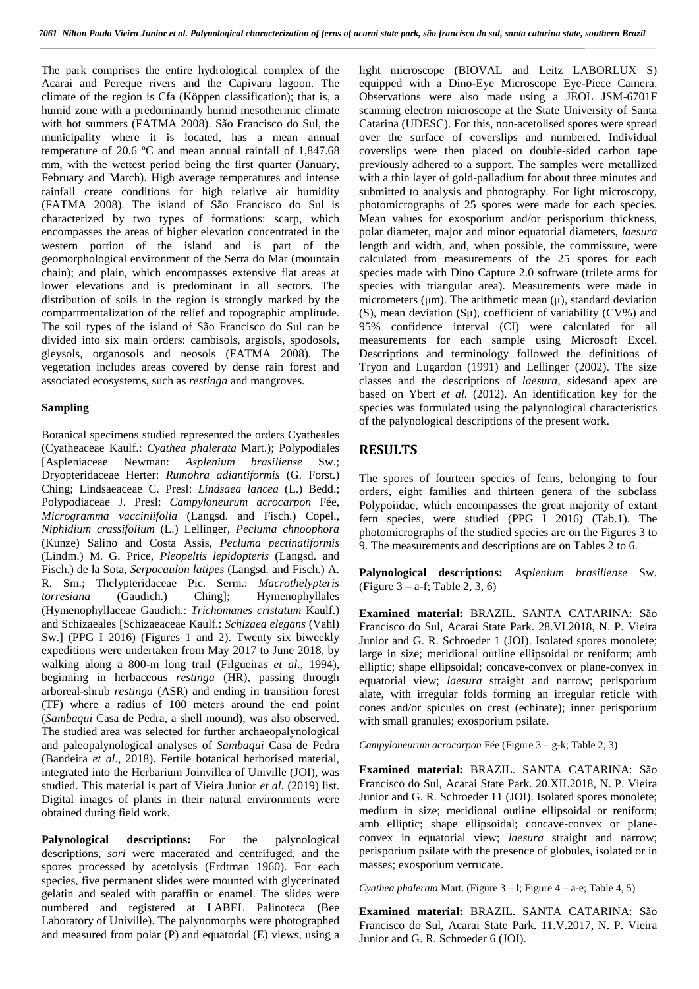The park comprises the entire hydrological complex of the Acarai and Pereque rivers and the Capivaru lagoon. The climate of the region is Cfa (Köppen classification); that is, a humid zone with a predominantly humid mesothermic climate with hot summers (FATMA 2008). São Francisco do Sul, the municipality where it is located, has a mean annual temperature of 20.6 ºC and mean annual rainfall of 1,847.68 mm, with the wettest period being the first quarter (January, February and March). High average temperatures and intense rainfall create conditions for high relative air humidity (FATMA 2008). The island of São Francisco do Sul is characterized by two types of formations: scarp, which encompasses the areas of higher elevation concentrated in the western portion of the island and is part of the geomorphological environment of the Serra do Mar (mountain chain); and plain, which encompasses extensive flat areas at lower elevations and is predominant in all sectors. The distribution of soils in the region is strongly marked by the compartmentalization of the relief and topographic amplitude. The soil types of the island of São Francisco do Sul can be divided into six main orders: cambisols, argisols, spodosols, gleysols, organosols and neosols (FATMA 2008). The vegetation includes areas covered by dense rain forest and associated ecosystems, such as *restinga* and mangroves.

### **Sampling**

Botanical specimens studied represented the orders Cyatheales (Cyatheaceae Kaulf.: *Cyathea phalerata* Mart.); Polypodiales [Aspleniaceae Newman: *Asplenium brasiliense* Sw.; Dryopteridaceae Herter: *Rumohra adiantiformis* (G. Forst.) Ching; Lindsaeaceae C. Presl: *Lindsaea lancea* (L.) Bedd.; Polypodiaceae J. Presl: *Campyloneurum acrocarpon* Fée, *Microgramma vacciniifolia* (Langsd. and Fisch.) Copel., *Niphidium crassifolium* (L.) Lellinger, *Pecluma chnoophora* (Kunze) Salino and Costa Assis, *Pecluma pectinatiformis* (Lindm.) M. G. Price, *Pleopeltis lepidopteris* (Langsd. and Fisch.) de la Sota, *Serpocaulon latipes* (Langsd. and Fisch.) A. R. Sm.; Thelypteridaceae Pic. Serm.: *Macrothelypteris torresiana* (Gaudich.) Ching]; Hymenophyllales (Hymenophyllaceae Gaudich.: *Trichomanes cristatum* Kaulf.) and Schizaeales [Schizaeaceae Kaulf.: *Schizaea elegans* (Vahl) Sw.] (PPG I 2016) (Figures 1 and 2). Twenty six biweekly expeditions were undertaken from May 2017 to June 2018, by walking along a 800-m long trail (Filgueiras *et al*., 1994), beginning in herbaceous *restinga* (HR), passing through arboreal-shrub *restinga* (ASR) and ending in transition forest (TF) where a radius of 100 meters around the end point (*Sambaqui* Casa de Pedra, a shell mound), was also observed. The studied area was selected for further archaeopalynological and paleopalynological analyses of *Sambaqui* Casa de Pedra (Bandeira *et al*., 2018). Fertile botanical herborised material, integrated into the Herbarium Joinvillea of Univille (JOI), was studied. This material is part of Vieira Junior *et al.* (2019) list. Digital images of plants in their natural environments were obtained during field work.

**Palynological descriptions:** For the palynological descriptions, *sori* were macerated and centrifuged, and the spores processed by acetolysis (Erdtman 1960). For each species, five permanent slides were mounted with glycerinated gelatin and sealed with paraffin or enamel. The slides were numbered and registered at LABEL Palinoteca (Bee Laboratory of Univille). The palynomorphs were photographed and measured from polar (P) and equatorial (E) views, using a light microscope (BIOVAL and Leitz LABORLUX S) equipped with a Dino-Eye Microscope Eye-Piece Camera. Observations were also made using a JEOL JSM-6701F scanning electron microscope at the State University of Santa Catarina (UDESC). For this, non-acetolised spores were spread over the surface of coverslips and numbered. Individual coverslips were then placed on double-sided carbon tape previously adhered to a support. The samples were metallized with a thin layer of gold-palladium for about three minutes and submitted to analysis and photography. For light microscopy, photomicrographs of 25 spores were made for each species. Mean values for exosporium and/or perisporium thickness, polar diameter, major and minor equatorial diameters, *laesura* length and width, and, when possible, the commissure*,* were calculated from measurements of the 25 spores for each species made with Dino Capture 2.0 software (trilete arms for species with triangular area). Measurements were made in micrometers ( $\mu$ m). The arithmetic mean ( $\mu$ ), standard deviation (S), mean deviation (Sμ), coefficient of variability (CV%) and 95% confidence interval (CI) were calculated for all measurements for each sample using Microsoft Excel. Descriptions and terminology followed the definitions of Tryon and Lugardon (1991) and Lellinger (2002). The size classes and the descriptions of *laesura,* sidesand apex are based on Ybert *et al.* (2012). An identification key for the species was formulated using the palynological characteristics of the palynological descriptions of the present work.

## **RESULTS**

The spores of fourteen species of ferns, belonging to four orders, eight families and thirteen genera of the subclass Polypoiidae, which encompasses the great majority of extant fern species, were studied (PPG I 2016) (Tab.1). The photomicrographs of the studied species are on the Figures 3 to 9. The measurements and descriptions are on Tables 2 to 6.

**Palynological descriptions:** *Asplenium brasiliense* Sw. (Figure  $3 - a$ -f; Table 2, 3, 6)

**Examined material:** BRAZIL. SANTA CATARINA: São Francisco do Sul, Acarai State Park. 28.VI.2018, N. P. Vieira Junior and G. R. Schroeder 1 (JOI). Isolated spores monolete; large in size; meridional outline ellipsoidal or reniform; amb elliptic; shape ellipsoidal; concave-convex or plane-convex in equatorial view; *laesura* straight and narrow; perisporium alate, with irregular folds forming an irregular reticle with cones and/or spicules on crest (echinate); inner perisporium with small granules; exosporium psilate.

*Campyloneurum acrocarpon* Fée (Figure 3 – g-k; Table 2, 3)

**Examined material:** BRAZIL. SANTA CATARINA: São Francisco do Sul, Acarai State Park. 20.XII.2018, N. P. Vieira Junior and G. R. Schroeder 11 (JOI). Isolated spores monolete; medium in size; meridional outline ellipsoidal or reniform; amb elliptic; shape ellipsoidal; concave-convex or plane convex in equatorial view; *laesura* straight and narrow; perisporium psilate with the presence of globules, isolated or in masses; exosporium verrucate.

*Cyathea phalerata* Mart. (Figure 3 – l; Figure 4 – a-e; Table 4, 5)

**Examined material:** BRAZIL. SANTA CATARINA: São Francisco do Sul, Acarai State Park. 11.V.2017, N. P. Vieira Junior and G. R. Schroeder 6 (JOI).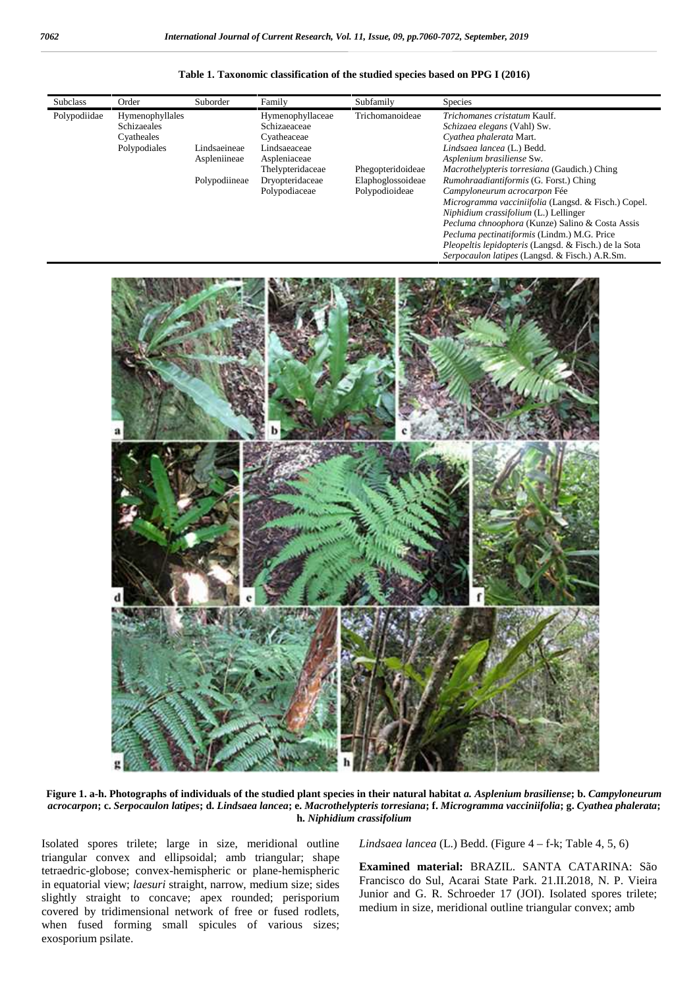**Table 1. Taxonomic classification of the studied species based on PPG I (2016)**





**Figure 1. a-h. Photographs of individuals of the studied plant species in their natural habitat** *a. Asplenium brasiliense***; b.** *Campyloneurum acrocarpon***; c.** *Serpocaulon latipes***; d.** *Lindsaea lancea***; e.** *Macrothelypteris torresiana***; f.** *Microgramma vacciniifolia***; g.** *Cyathea phalerata***; h.** *Niphidium crassifolium*

Isolated spores trilete; large in size, meridional outline triangular convex and ellipsoidal; amb triangular; shape tetraedric-globose; convex-hemispheric or plane-hemispheric in equatorial view; *laesuri* straight, narrow, medium size; sides slightly straight to concave; apex rounded; perisporium covered by tridimensional network of free or fused rodlets, when fused forming small spicules of various sizes; exosporium psilate.

*Lindsaea lancea* (L.) Bedd. (Figure 4 – f-k; Table 4, 5, 6)

**Examined material:** BRAZIL. SANTA CATARINA: São Francisco do Sul, Acarai State Park. 21.II.2018, N. P. Vieira Junior and G. R. Schroeder 17 (JOI). Isolated spores trilete; medium in size, meridional outline triangular convex; amb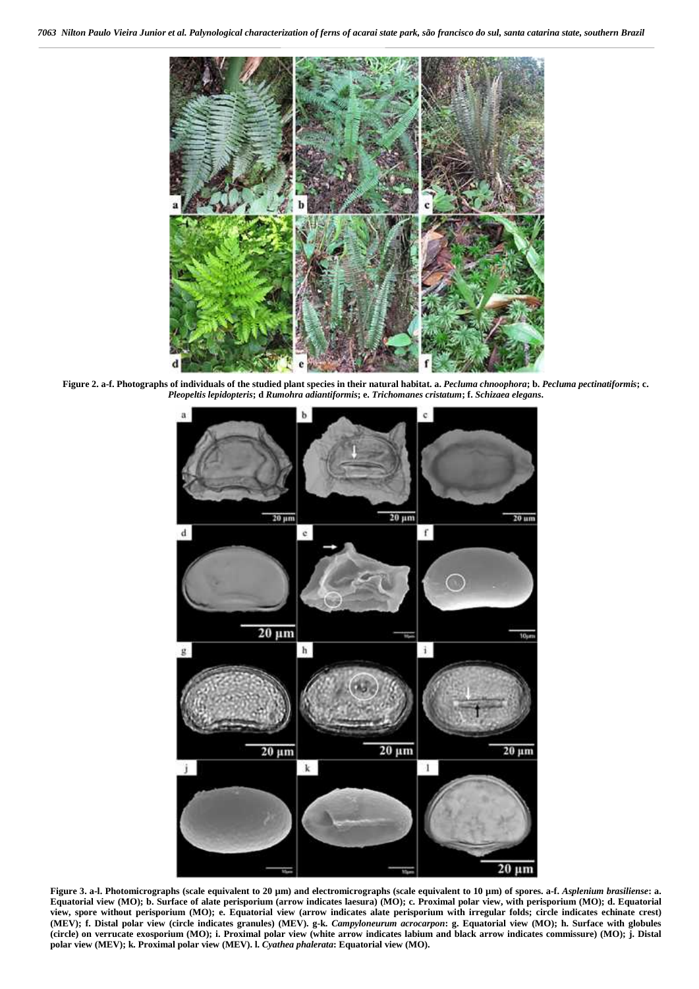

**Figure 2. a-f. Photographs of individuals of the studied plant species in their natural habitat. a.** *Pecluma chnoophora***; b.** *Pecluma pectinatiformis***; c.** *Pleopeltis lepidopteris***; d** *Rumohra adiantiformis***; e.** *Trichomanes cristatum***; f.** *Schizaea elegans***.**



**Figure 3. a-l. Photomicrographs (scale equivalent to 20 µm) and electromicrographs (scale equivalent to 10 µm) of spores. a-f.** *Asplenium brasiliense***: a. Equatorial view (MO); b. Surface of alate perisporium (arrow indicates laesura) (MO); c. Proximal polar view, with perisporium (MO); d. Equatorial view, spore without perisporium (MO); e. Equatorial view (arrow indicates alate perisporium with irregular folds; circle indicates echinate crest) (MEV); f. Distal polar view (circle indicates granules) (MEV). g-k.** *Campyloneurum acrocarpon***: g. Equatorial view (MO); h. Surface with globules (circle) on verrucate exosporium (MO); i. Proximal polar view (white arrow indicates labium and black arrow indicates commissure) (MO); j. Distal polar view (MEV); k. Proximal polar view (MEV). l.** *Cyathea phalerata***: Equatorial view (MO).**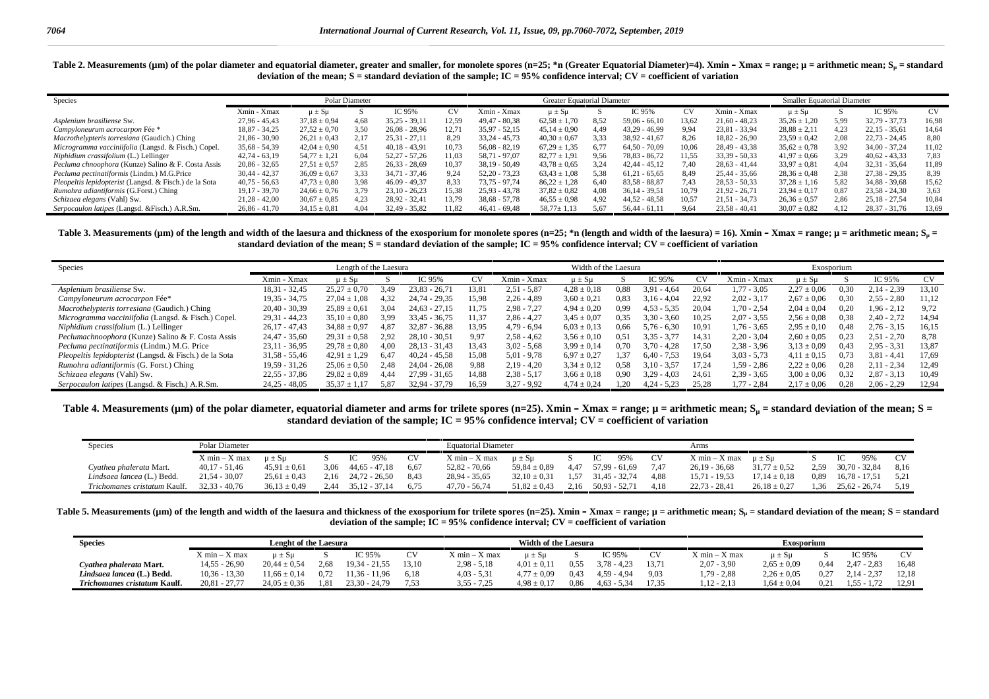Table 2. Measurements (µm) of the polar diameter and equatorial diameter, greater and smaller, for monolete spores (n=25; \*n (Greater Equatorial Diameter)=4). Xmin - Xmax = range; µ = arithmetic mean; S<sub>u</sub> = standard **deviation of the mean; S = standard deviation of the sample; IC = 95% confidence interval; CV = coefficient of variation**

| Species                                                |                 | Polar Diameter   |      |                 |       | Greater Equatorial Diameter |                  |      | <b>Smaller Equatorial Diameter</b> |       |                 |                  |      |                 |       |
|--------------------------------------------------------|-----------------|------------------|------|-----------------|-------|-----------------------------|------------------|------|------------------------------------|-------|-----------------|------------------|------|-----------------|-------|
|                                                        | Xmin - Xmax     | $\mu \pm S\mu$   |      | IC 95%          | CV.   | Xmin - Xmax                 | $\mu \pm S\mu$   |      | IC 95%                             | CV.   | Xmin - Xmax     | $\mu \pm S\mu$   |      | IC 95%          | CV.   |
| Asplenium brasiliense Sw.                              | $27,96 - 45,43$ | $37.18 \pm 0.94$ | 4.68 | $35,25 - 39,11$ | 12.59 | $49.47 - 80.38$             | $62.58 \pm 1.70$ | 8.52 | $59.06 - 66.10$                    | 13.62 | $21,60 - 48,23$ | $35.26 \pm 1.20$ | 5.99 | $32,79 - 37,73$ | 16.98 |
| Campyloneurum acrocarpon Fée *                         | $18,87 - 34,25$ | $27.52 \pm 0.70$ | .50  | $26.08 - 28.96$ | 12.71 | $35.97 - 52.15$             | $45.14 \pm 0.90$ | 4.49 | $43.29 - 46.99$                    | 9.94  | $23,81 - 33,94$ | $28.88 \pm 2.11$ | 4.23 | $22.15 - 35.61$ | 14.64 |
| Macrothelypteris torresiana (Gaudich.) Ching           | $21,86 - 30,90$ | $26.21 \pm 0.43$ | 2.17 | $25.31 - 27.11$ | 8.29  | $33.24 - 45.73$             | $40.30 \pm 0.67$ | 3.33 | $38.92 - 41.67$                    | 8.26  | $18.82 - 26.90$ | $23.59 \pm 0.42$ | 2.08 | $22.73 - 24.45$ | 8.80  |
| Microgramma vacciniifolia (Langsd. & Fisch.) Copel.    | $35,68 - 54,39$ | $42.04 \pm 0.90$ | 4.51 | $40.18 - 43.91$ | 10.73 | $56.08 - 82.19$             | $67.29 \pm 1.35$ | 6.77 | $64.50 - 70.09$                    | 10.06 | $28,49 - 43,38$ | $35,62 \pm 0.78$ | 3.92 | $34,00 - 37,24$ | 11.02 |
| Niphidium crassifolium (L.) Lellinger                  | $42,74 - 63,19$ | $54,77 \pm 1,21$ | 6.04 | $52,27 - 57,26$ | 11.03 | 58.71 - 97.07               | $82.77 \pm 1.91$ | 9.56 | 78.83 - 86.72                      | 11.55 | $33,39 - 50,33$ | $41.97 \pm 0.66$ | 3.29 | $40.62 - 43.33$ | 7.83  |
| Pecluma chnoophora (Kunze) Salino & F. Costa Assis     | $20,86 - 32,65$ | $27.51 \pm 0.57$ | 2.85 | $26.33 - 28.69$ | 10.37 | $38.19 - 50.49$             | $43.78 \pm 0.65$ | 3.24 | $42.44 - 45.12$                    | 7.40  | $28.63 - 41.44$ | $33.97 \pm 0.81$ | 4.04 | $32.31 - 35.64$ | 11.89 |
| <i>Pecluma pectinatiformis</i> (Lindm.) M.G.Price      | $30,44 - 42,37$ | $36.09 \pm 0.67$ | 3.33 | $34.71 - 37.46$ | 9.24  | $52.20 - 73.23$             | $63.43 \pm 1.08$ | 5.38 | $61.21 - 65.65$                    | 8.49  | $25,44 - 35,66$ | $28.36 \pm 0.48$ | 2.38 | $27.38 - 29.35$ | 8.39  |
| Pleopeltis lepidopterist (Langsd. & Fisch.) de la Sota | $40,75 - 56,63$ | $47.73 \pm 0.80$ | 3.98 | $46.09 - 49.37$ | 8.33  | 73.75 - 97.74               | $86.22 \pm 1.28$ | 6.40 | $83.58 - 88.87$                    | 7.43  | $28.53 - 50.33$ | $37.28 \pm 1.16$ | 5.82 | $34.88 - 39.68$ | 15.62 |
| Rumohra adiantiformis (G.Forst.) Ching                 | $19.17 - 39.70$ | $24.66 \pm 0.76$ | 3.79 | $23.10 - 26.23$ | 15.38 | $25.93 - 43.78$             | $37.82 \pm 0.82$ | 4.08 | $36.14 - 39.51$                    | 10.79 | $21.92 - 26.71$ | $23.94 \pm 0.17$ | 0.87 | $23.58 - 24.30$ | 3.63  |
| Schizaea elegans (Vahl) Sw.                            | $21,28 - 42,00$ | $30,67 \pm 0,85$ | 4.23 | $28,92 - 32,41$ | 13,79 | $38,68 - 57,78$             | $46,55 \pm 0.98$ | 4.92 | $44,52 - 48,58$                    | 10.57 | $21,51 - 34,73$ | $26,36 \pm 0.57$ | 2.86 | $25,18 - 27,54$ | 10.84 |
| Serpocaulon latipes (Langsd. & Fisch.) A.R.Sm.         | $26.86 - 41.70$ | $34.15 \pm 0.81$ | 4.04 | $32.49 - 35.82$ | 11.82 | $46.41 - 69.48$             | $58.77 \pm 1.13$ | 5.67 | 56.44 - 61.11                      | 9.64  | $23.58 - 40.41$ | $30.07 \pm 0.82$ |      | $28.37 - 31.76$ | 13.69 |

Table 3. Measurements (um) of the length and width of the laesura and thickness of the exosporium for monolete spores (n=25; \*n (length and width of the laesura) = 16). Xmin – Xmax = range;  $\mu$  = arithmetic mean; S<sub>u</sub> = **standard deviation of the mean; S = standard deviation of the sample; IC = 95% confidence interval; CV = coefficient of variation**

| <b>Species</b>                                           |                 | Length of the Laesura |      | Width of the Laesura |       |               | Exosporium      |      |                  |       |               |                 |      |               |       |
|----------------------------------------------------------|-----------------|-----------------------|------|----------------------|-------|---------------|-----------------|------|------------------|-------|---------------|-----------------|------|---------------|-------|
|                                                          | Xmin - Xmax     | $\mu \pm S\mu$        |      | IC 95%               | CV    | Xmin - Xmax   | $\mu \pm S\mu$  |      | : 95%            | СV    | Xmin - Xmax   | $\mu \pm S\mu$  |      | IC 95%        |       |
| Asplenium brasiliense Sw.                                | $18,31 - 32,45$ | $25,27 \pm 0,70$      | 3.49 | $23,83 - 26,71$      | 13.81 | $2,51 - 5,87$ | $4.28 \pm 0.18$ | 0.88 | $3.91 - 4.64$    | 20.64 | $1,77 - 3,05$ | $2.27 \pm 0.06$ | 0.30 | $2,14 - 2,39$ | 13.10 |
| Campyloneurum acrocarpon Fée*                            | $19,35 - 34,75$ | $27.04 \pm 1.08$      | 4.32 | 24.74 - 29.35        | 15.98 | $2.26 - 4.89$ | $3.60 \pm 0.2$  | 0.83 | $3.16 - 4.04$    | 22.92 | $2.02 - 3.17$ | $2.67 \pm 0.06$ | 0.30 | $2.55 - 2.80$ | 11.12 |
| Macrothelypteris torresiana (Gaudich.) Ching             | $20.40 - 30.39$ | $25.89 \pm 0.61$      | 3.04 | $24.63 - 27.15$      | 11.75 | $2.98 - 7.27$ | $4.94 \pm 0.20$ | 0.99 | $4,53 - 5,35$    | 20.04 | 1.70 - 2.54   | $2.04 \pm 0.04$ | 0.20 | 1.96 - 2.12   | 9.72  |
| Microgramma vacciniifolia (Langsd. & Fisch.) Copel.      | $29,31 - 44,23$ | $35.10 \pm 0.80$      | 3.99 | $33.45 - 36.75$      | 11.37 | $2.86 - 4.27$ | $3.45 \pm 0.07$ | 0.35 | $3.30 - 3.60$    | 10.25 | $2.07 - 3.55$ | $2.56 \pm 0.08$ | 0.38 | $2.40 - 2.72$ | 14.94 |
| Niphidium crassifolium (L.) Lellinger                    | $26.17 - 47.43$ | $34.88 \pm 0.97$      | 4.87 | $32.87 - 36.88$      | 13.95 | $4.79 - 6.94$ | $6.03 \pm 0.13$ | 0.66 | $5.76 - 6.30$    | 10.91 | $1.76 - 3.65$ | $2.95 \pm 0.10$ | 0.48 | $2,76 - 3,15$ | 16.15 |
| <i>Peclumachnoophora</i> (Kunze) Salino & F. Costa Assis | $24,47 - 35,60$ | $29.31 \pm 0.58$      | 2.92 | $28.10 - 30.51$      | 9.97  | $2.58 - 4.62$ | $3.56 \pm 0.10$ | 0.51 | $3,35 - 3,77$    | 14.31 | $2.20 - 3.04$ | $2.60 \pm 0.05$ | 0.23 | $2.51 - 2.70$ | 8.78  |
| Pecluma pectinatiformis (Lindm.) M.G. Price              | $23.11 - 36.95$ | $29.78 \pm 0.80$      | 4.00 | $28.13 - 31.43$      | 13.43 | $3.02 - 5.68$ | $3.99 \pm 0.14$ | 0.70 | $3.70 - 4.28$    | 17.50 | $2.38 - 3.96$ | $3.13 \pm 0.09$ | 0.43 | $2.95 - 3.31$ | 13.87 |
| Pleopeltis lepidopterist (Langsd. & Fisch.) de la Sota   | $31,58 - 55,46$ | $42.91 \pm 1.29$      | 6.47 | $40.24 - 45.58$      | 15.08 | $5.01 - 9.78$ | $6.97 \pm 0.27$ | . 37 | 7.53<br>$6.40 -$ | 19.64 | $3,03 - 5,73$ | $4.11 \pm 0.15$ | 0.73 | $3.81 - 4.41$ | 17.69 |
| <i>Rumohra adiantiformis</i> (G. Forst.) Ching           | $19.59 - 31.26$ | $25.06 \pm 0.50$      | 2.48 | $24.04 - 26.08$      | 9.88  | $2.19 - 4.20$ | $3.34 \pm 0.12$ | 0.58 | $3.10 - 3.57$    | 17.24 | 1.59 - 2.86   | $2.22 \pm 0.06$ | 0.28 | $2.11 - 2.34$ | 12.49 |
| <i>Schizaea elegans</i> (Vahl) Sw.                       | $22,55 - 37,86$ | $29.82 \pm 0.89$      | 4.44 | $27.99 - 31.65$      | 14.88 | $2.38 - 5.17$ | $3.66 \pm 0.18$ | 0.90 | $3.29 - 4.03$    | 24.61 | $2.39 - 3.65$ | $3.00 \pm 0.06$ | 0.32 | $2,87 - 3,13$ | 10.49 |
| Serpocaulon latipes (Langsd. & Fisch.) A.R.Sm.           | $24.25 - 48.05$ | $35.37 \pm 1.17$      | 5.87 | 32.94 - 37.79        | 16.59 | $3.27 - 9.92$ | $4.74 \pm 0.24$ |      | $4.24 - 5.23$    | 25.28 | $1.77 - 2.84$ | $2.17 \pm 0.06$ | 0.28 | $2.06 - 2.29$ | 12.94 |

Table 4. Measurements (µm) of the polar diameter, equatorial diameter and arms for trilete spores (n=25). Xmin – Xmax = range;  $\mu$  = arithmetic mean; S<sub>u</sub> = standard deviation of the mean; S = **standard deviation of the sample; IC = 95% confidence interval; CV = coefficient of variation**

| <b>Species</b>               | Polar Diameter  |                  |      |                 |      | Equatorial Diameter |                  | Arms |                 |      |                 |                  |      |                 |      |
|------------------------------|-----------------|------------------|------|-----------------|------|---------------------|------------------|------|-----------------|------|-----------------|------------------|------|-----------------|------|
|                              | $X min - X max$ | $\mu \pm S\mu$   |      | 95%             |      | $X min - X max$     | $\mu \pm S\mu$   |      | 95%             |      | $X min - X max$ | $u \pm Su$       |      | 95%             |      |
| Cyathea phalerata Mart.      | $40,17 - 51,46$ | $45.91 \pm 0.61$ | 3.06 | 44.65 - 47.18   | 6.67 | $52,82 - 70,66$     | $59.84 \pm 0.89$ | 4.47 | 57.99 - 61.69   | 7.47 | $26.19 - 36.68$ | $31,77 \pm 0.52$ | 2,59 | $30,70 - 32,84$ | 8.16 |
| Lindsaea lancea (L.) Bedd.   | $21,54 - 30,07$ | $25.61 \pm 0.43$ | 2.16 | 24.72 - 26.50   | 8.43 | $28,94 - 35,65$     | $32,10 \pm 0.31$ | 1.57 | $31.45 - 32.74$ | 4,88 | $15.71 - 19.53$ | $17.14 \pm 0.18$ | 0,89 | $16,78 - 17,51$ | 5.21 |
| Trichomanes cristatum Kaulf. | $32.33 - 40.76$ | $36.13 \pm 0.49$ | 2.44 | $35.12 - 37.14$ | 6.75 | $47.70 - 56.74$     | $51.82 \pm 0.43$ | 2.16 | 50.93 - 52.71   | 4.18 | $22.73 - 28.41$ | $26.18 \pm 0.27$ | 1,36 | $25.62 - 26.74$ | 5.19 |

Table 5. Measurements (µm) of the length and width of the laesura and thickness of the exosporium for trilete spores (n=25). Xmin – Xmax = range;  $\mu$  = arithmetic mean; S<sub>u</sub> = standard deviation of the mean; S = standard **deviation of the sample; IC = 95% confidence interval; CV = coefficient of variation**

| <b>Species</b>               | Lenght of the Laesura |                                        |      |                 |          |                 | Width of the Laesura |      |               |          | Exosporium      |                 |      |               |                |  |
|------------------------------|-----------------------|----------------------------------------|------|-----------------|----------|-----------------|----------------------|------|---------------|----------|-----------------|-----------------|------|---------------|----------------|--|
|                              | $X min - X max$       | $\mathsf{u} \pm \mathbf{S} \mathsf{u}$ |      | IC 95%          | $\alpha$ | $X min - X max$ | $\mu \pm S\mu$       |      | IC 95%        | $\alpha$ | $X min - X max$ | $\mu \pm S\mu$  |      | IC 95%        |                |  |
| Cyathea phalerata Mart.      | $14.55 - 26.90$       | $20.44 \pm 0.54$                       | 2.68 | $19,34 - 21,55$ | 13.10    | $2,98 - 5,18$   | $4.01 \pm 0.11$      | 0.55 | $3.78 - 4.23$ | 13,71    | $2,07 - 3,90$   | $2.65 \pm 0.09$ | 0.44 | $2.47 - 2.83$ | 16,48          |  |
| Lindsaea lancea (L.) Bedd.   | $10,36 - 13,30$       | $11,66 \pm 0,14$                       | 0,72 | $1,36 - 11,96$  | 6.18     | $4.03 - 5.31$   | $4,77 \pm 0.09$      | 0.43 | $4.59 - 4.94$ | 9,03     | $1.79 - 2.88$   | $2.26 \pm 0.05$ | 0,27 | $2,14 - 2,37$ | 12,18          |  |
| Trichomanes cristatum Kaulf. | $20.81 - 27.77$       | $24.05 \pm 0.36$                       | 1.81 | $23.30 - 24.79$ | 7.53     | $3.55 - 7.25$   | $4.98 \pm 0.17$      | 0.86 | $4.63 - 5.34$ | 17.35    | 1,12 - 2,13     | $1.64 \pm 0.04$ | 0.21 | $1,55 - 7$    | $12.9^{\circ}$ |  |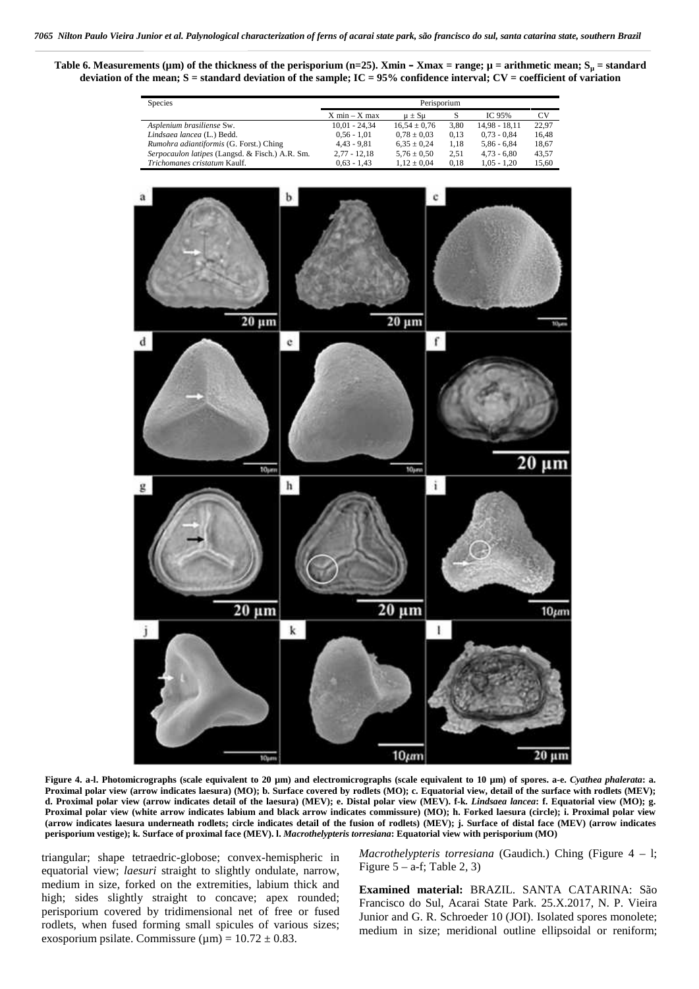**Table 6. Measurements (µm) of the thickness of the perisporium (n=25). Xmin – Xmax = range; µ = arithmetic mean; S<sup>µ</sup> = standard deviation of the mean; S = standard deviation of the sample; IC = 95% confidence interval; CV = coefficient of variation**



**Figure 4. a-l. Photomicrographs (scale equivalent to 20 µm) and electromicrographs (scale equivalent to 10 µm) of spores. a-e.** *Cyathea phalerata***: a. Proximal polar view (arrow indicates laesura) (MO); b. Surface covered by rodlets (MO); c. Equatorial view, detail of the surface with rodlets (MEV); d. Proximal polar view (arrow indicates detail of the laesura) (MEV); e. Distal polar view (MEV). f-k.** *Lindsaea lancea***: f. Equatorial view (MO); g. Proximal polar view (white arrow indicates labium and black arrow indicates commissure) (MO); h. Forked laesura (circle); i. Proximal polar view (arrow indicates laesura underneath rodlets; circle indicates detail of the fusion of rodlets) (MEV); j. Surface of distal face (MEV) (arrow indicates perisporium vestige); k. Surface of proximal face (MEV). l.** *Macrothelypteris torresiana***: Equatorial view with perisporium (MO)**

triangular; shape tetraedric-globose; convex-hemispheric in equatorial view; *laesuri* straight to slightly ondulate, narrow, medium in size, forked on the extremities, labium thick and high; sides slightly straight to concave; apex rounded; perisporium covered by tridimensional net of free or fused rodlets, when fused forming small spicules of various sizes; exosporium psilate. Commissure ( $\mu$ m) = 10.72  $\pm$  0.83.

*Macrothelypteris torresiana* (Gaudich.) Ching (Figure 4 – l; Figure  $5 - a$ -f; Table 2, 3)

**Examined material:** BRAZIL. SANTA CATARINA: São Francisco do Sul, Acarai State Park. 25.X.2017, N. P. Vieira Junior and G. R. Schroeder 10 (JOI). Isolated spores monolete; medium in size; meridional outline ellipsoidal or reniform;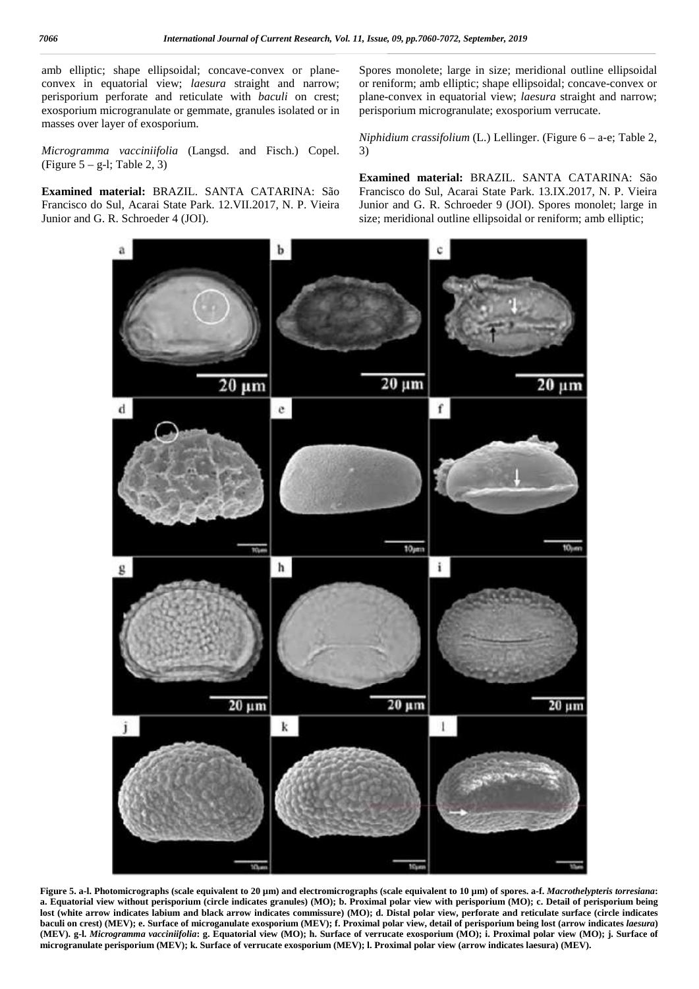amb elliptic; shape ellipsoidal; concave-convex or plane convex in equatorial view; *laesura* straight and narrow; perisporium perforate and reticulate with *baculi* on crest; exosporium microgranulate or gemmate, granules isolated or in masses over layer of exosporium.

*Microgramma vacciniifolia* (Langsd. and Fisch.) Copel. (Figure  $5 - g-1$ ; Table 2, 3)

**Examined material:** BRAZIL. SANTA CATARINA: São Francisco do Sul, Acarai State Park. 12.VII.2017, N. P. Vieira Junior and G. R. Schroeder 4 (JOI).

Spores monolete; large in size; meridional outline ellipsoidal or reniform; amb elliptic; shape ellipsoidal; concave-convex or plane-convex in equatorial view; *laesura* straight and narrow; perisporium microgranulate; exosporium verrucate.

*Niphidium crassifolium* (L.) Lellinger. (Figure 6 – a-e; Table 2, 3)

**Examined material:** BRAZIL. SANTA CATARINA: São Francisco do Sul, Acarai State Park. 13.IX.2017, N. P. Vieira Junior and G. R. Schroeder 9 (JOI). Spores monolet; large in size; meridional outline ellipsoidal or reniform; amb elliptic;



**Figure 5. a-l. Photomicrographs (scale equivalent to 20 µm) and electromicrographs (scale equivalent to 10 µm) of spores. a-f.** *Macrothelypteris torresiana***: a. Equatorial view without perisporium (circle indicates granules) (MO); b. Proximal polar view with perisporium (MO); c. Detail of perisporium being lost (white arrow indicates labium and black arrow indicates commissure) (MO); d. Distal polar view, perforate and reticulate surface (circle indicates baculi on crest) (MEV); e. Surface of microganulate exosporium (MEV); f. Proximal polar view, detail of perisporium being lost (arrow indicates** *laesura***) (MEV). g-l.** *Microgramma vacciniifolia***: g. Equatorial view (MO); h. Surface of verrucate exosporium (MO); i. Proximal polar view (MO); j. Surface of microgranulate perisporium (MEV); k. Surface of verrucate exosporium (MEV); l. Proximal polar view (arrow indicates laesura) (MEV).**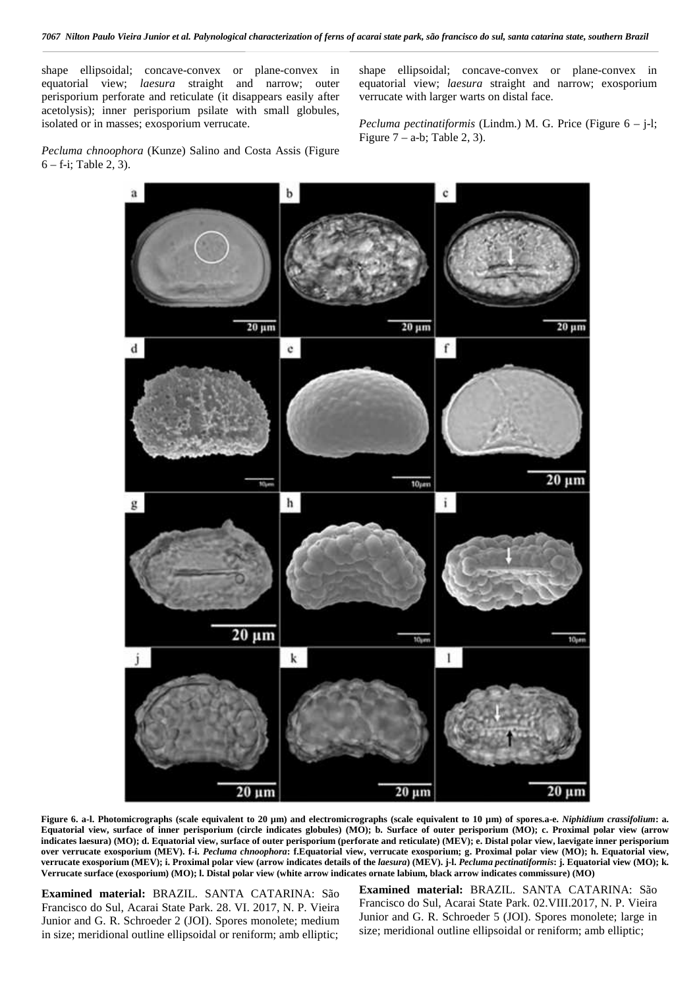shape ellipsoidal; concave-convex or plane-convex in equatorial view; *laesura* straight and narrow; outer perisporium perforate and reticulate (it disappears easily after acetolysis); inner perisporium psilate with small globules, isolated or in masses; exosporium verrucate.

*Pecluma chnoophora* (Kunze) Salino and Costa Assis (Figure 6 – f-i; Table 2, 3).

shape ellipsoidal; concave-convex or plane-convex in equatorial view; *laesura* straight and narrow; exosporium verrucate with larger warts on distal face.

*Pecluma pectinatiformis* (Lindm.) M. G. Price (Figure 6 – j-l; Figure  $7 - a-b$ ; Table 2, 3).



**Figure 6. a-l. Photomicrographs (scale equivalent to 20 µm) and electromicrographs (scale equivalent to 10 µm) of spores.a-e.** *Niphidium crassifolium***: a. Equatorial view, surface of inner perisporium (circle indicates globules) (MO); b. Surface of outer perisporium (MO); c. Proximal polar view (arrow indicates laesura) (MO); d. Equatorial view, surface of outer perisporium (perforate and reticulate) (MEV); e. Distal polar view, laevigate inner perisporium over verrucate exosporium (MEV). f-i.** *Pecluma chnoophora***: f.Equatorial view, verrucate exosporium; g. Proximal polar view (MO); h. Equatorial view, verrucate exosporium (MEV); i. Proximal polar view (arrow indicates details of the** *laesura***) (MEV). j-l.** *Pecluma pectinatiformis***: j. Equatorial view (MO); k. Verrucate surface (exosporium) (MO); l. Distal polar view (white arrow indicates ornate labium, black arrow indicates commissure) (MO)**

**Examined material:** BRAZIL. SANTA CATARINA: São Francisco do Sul, Acarai State Park. 28. VI. 2017, N. P. Vieira Junior and G. R. Schroeder 2 (JOI). Spores monolete; medium in size; meridional outline ellipsoidal or reniform; amb elliptic; **Examined material:** BRAZIL. SANTA CATARINA: São Francisco do Sul, Acarai State Park. 02.VIII.2017, N. P. Vieira Junior and G. R. Schroeder 5 (JOI). Spores monolete; large in size; meridional outline ellipsoidal or reniform; amb elliptic;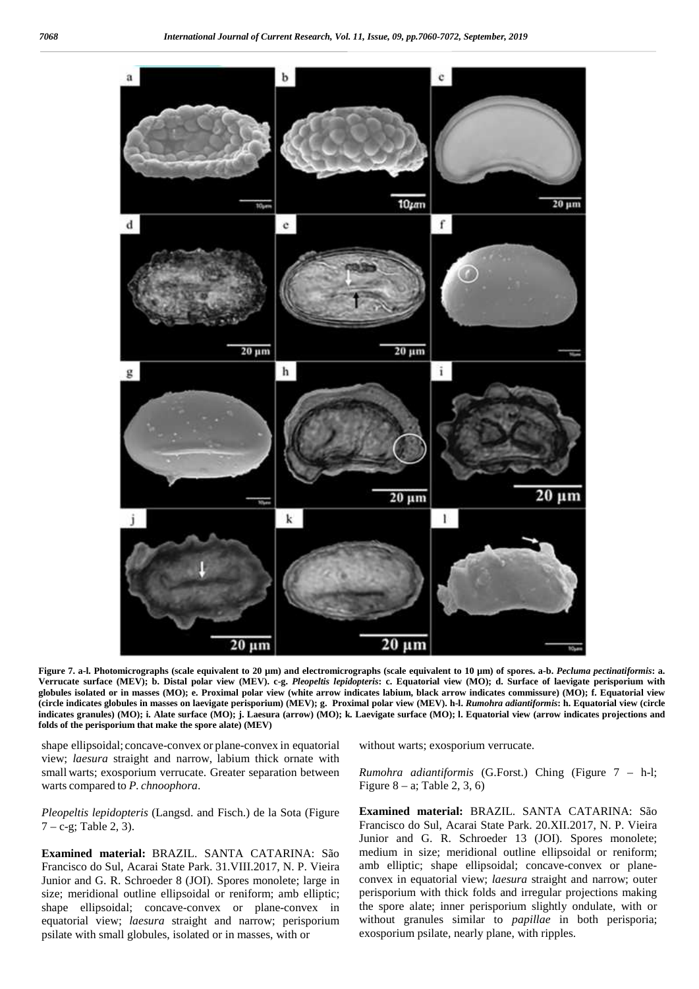

**Figure 7. a-l. Photomicrographs (scale equivalent to 20 µm) and electromicrographs (scale equivalent to 10 µm) of spores. a-b.** *Pecluma pectinatiformis***: a. Verrucate surface (MEV); b. Distal polar view (MEV). c-g.** *Pleopeltis lepidopteris***: c. Equatorial view (MO); d. Surface of laevigate perisporium with globules isolated or in masses (MO); e. Proximal polar view (white arrow indicates labium, black arrow indicates commissure) (MO); f. Equatorial view (circle indicates globules in masses on laevigate perisporium) (MEV); g. Proximal polar view (MEV). h-l.** *Rumohra adiantiformis***: h. Equatorial view (circle indicates granules) (MO); i. Alate surface (MO); j. Laesura (arrow) (MO); k. Laevigate surface (MO); l. Equatorial view (arrow indicates projections and folds of the perisporium that make the spore alate) (MEV)**

shape ellipsoidal; concave-convex or plane-convex in equatorial view; *laesura* straight and narrow, labium thick ornate with small warts; exosporium verrucate. Greater separation between warts compared to *P. chnoophora*.

*Pleopeltis lepidopteris* (Langsd. and Fisch.) de la Sota (Figure  $7 - c-g$ ; Table 2, 3).

**Examined material:** BRAZIL. SANTA CATARINA: São Francisco do Sul, Acarai State Park. 31.VIII.2017, N. P. Vieira Junior and G. R. Schroeder 8 (JOI). Spores monolete; large in size; meridional outline ellipsoidal or reniform; amb elliptic; shape ellipsoidal; concave-convex or plane-convex in equatorial view; *laesura* straight and narrow; perisporium psilate with small globules, isolated or in masses, with or

without warts; exosporium verrucate.

*Rumohra adiantiformis* (G.Forst.) Ching (Figure 7 – h-l; Figure  $8 - a$ ; Table 2, 3, 6)

**Examined material:** BRAZIL. SANTA CATARINA: São Francisco do Sul, Acarai State Park. 20.XII.2017, N. P. Vieira Junior and G. R. Schroeder 13 (JOI). Spores monolete; medium in size; meridional outline ellipsoidal or reniform; amb elliptic; shape ellipsoidal; concave-convex or plane convex in equatorial view; *laesura* straight and narrow; outer perisporium with thick folds and irregular projections making the spore alate; inner perisporium slightly ondulate, with or without granules similar to *papillae* in both perisporia; exosporium psilate, nearly plane, with ripples.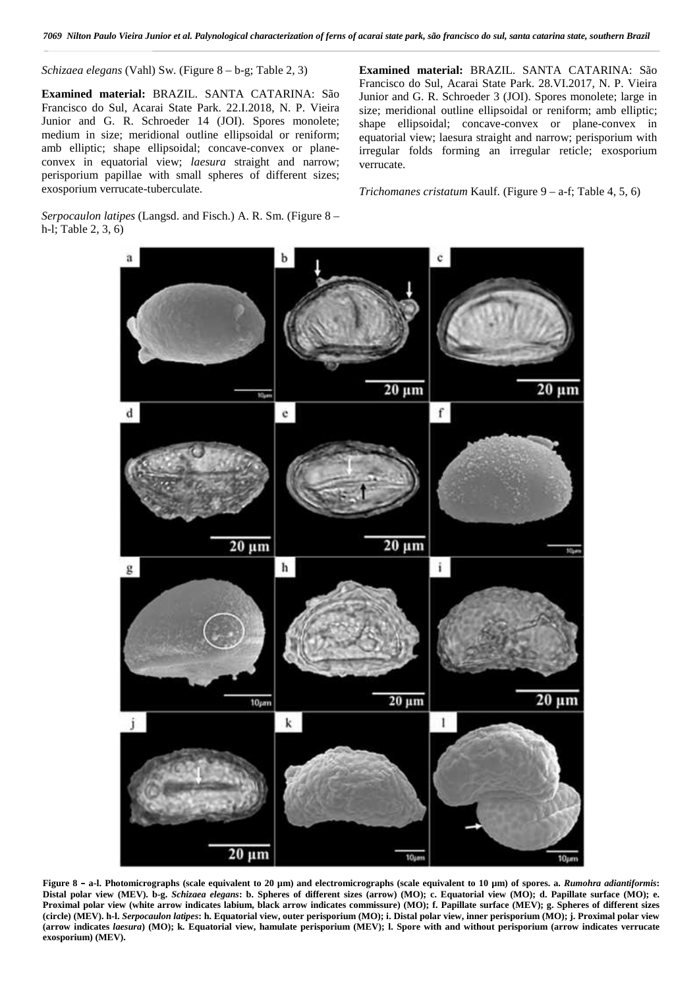*Schizaea elegans* (Vahl) Sw. (Figure 8 – b-g; Table 2, 3)

**Examined material:** BRAZIL. SANTA CATARINA: São Francisco do Sul, Acarai State Park. 22.I.2018, N. P. Vieira Junior and G. R. Schroeder 14 (JOI). Spores monolete; medium in size; meridional outline ellipsoidal or reniform; amb elliptic; shape ellipsoidal; concave-convex or plane convex in equatorial view; *laesura* straight and narrow; perisporium papillae with small spheres of different sizes; exosporium verrucate-tuberculate.

*Serpocaulon latipes* (Langsd. and Fisch.) A. R. Sm. (Figure 8 –

h-l; Table 2, 3, 6)

**Examined material:** BRAZIL. SANTA CATARINA: São Francisco do Sul, Acarai State Park. 28.VI.2017, N. P. Vieira Junior and G. R. Schroeder 3 (JOI). Spores monolete; large in size; meridional outline ellipsoidal or reniform; amb elliptic; shape ellipsoidal; concave-convex or plane-convex in equatorial view; laesura straight and narrow; perisporium with irregular folds forming an irregular reticle; exosporium verrucate.

*Trichomanes cristatum* Kaulf. (Figure 9 – a-f; Table 4, 5, 6)

 $20 \mu m$  $20 \mu m$  $\mathbf d$  $\mathbf c$ f  $20 \mu m$  $20 \mu m$ h g ī  $20 \mu m$  $20 \mu m$  $10<sub>km</sub>$ ĵ k 1  $20 \mu m$  $10<sub>II</sub>$ 

**Figure 8 – a-l. Photomicrographs (scale equivalent to 20 µm) and electromicrographs (scale equivalent to 10 µm) of spores. a.** *Rumohra adiantiformis***: Distal polar view (MEV). b-g.** *Schizaea elegans***: b. Spheres of different sizes (arrow) (MO); c. Equatorial view (MO); d. Papillate surface (MO); e. Proximal polar view (white arrow indicates labium, black arrow indicates commissure) (MO); f. Papillate surface (MEV); g. Spheres of different sizes (circle) (MEV). h-l.** *Serpocaulon latipes***: h. Equatorial view, outer perisporium (MO); i. Distal polar view, inner perisporium (MO); j. Proximal polar view (arrow indicates** *laesura***) (MO); k. Equatorial view, hamulate perisporium (MEV); l. Spore with and without perisporium (arrow indicates verrucate exosporium) (MEV).**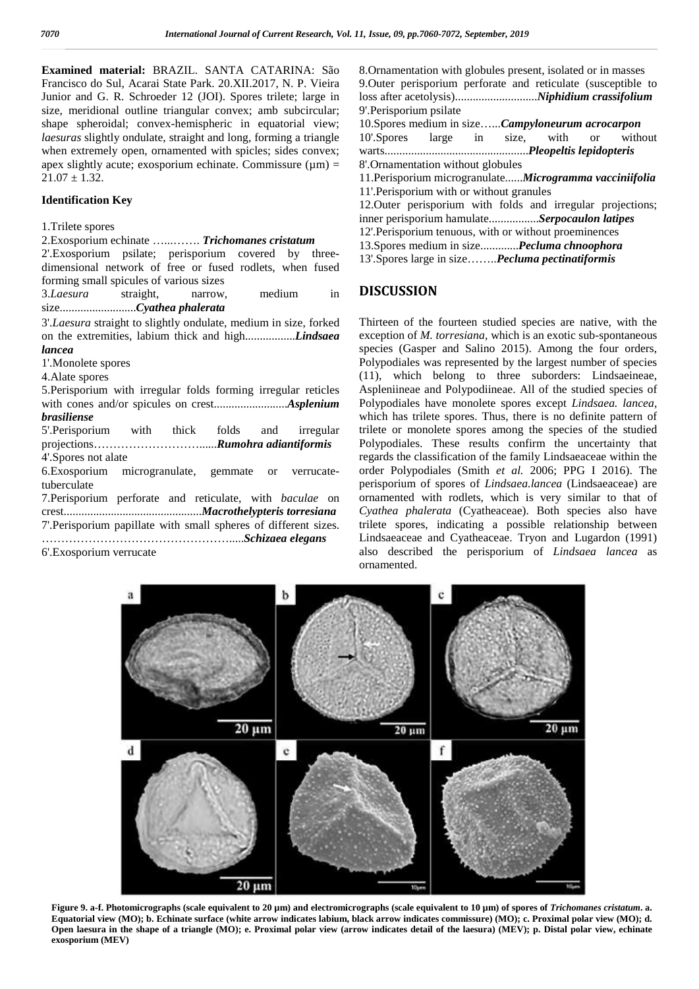**Examined material:** BRAZIL. SANTA CATARINA: São Francisco do Sul, Acarai State Park. 20.XII.2017, N. P. Vieira Junior and G. R. Schroeder 12 (JOI). Spores trilete; large in size, meridional outline triangular convex; amb subcircular; shape spheroidal; convex-hemispheric in equatorial view; *laesuras* slightly ondulate, straight and long, forming a triangle when extremely open, ornamented with spicles; sides convex; apex slightly acute; exosporium echinate. Commissure  $(\mu m)$  =  $21.07 + 1.32$ 

### **Identification Key**

### 1.Trilete spores

2.Exosporium echinate …...……. *Trichomanes cristatum*

2'.Exosporium psilate; perisporium covered by three dimensional network of free or fused rodlets, when fused forming small spicules of various sizes

3.*Laesura* straight, narrow, medium in size..........................*Cyathea phalerata*

3'.*Laesura* straight to slightly ondulate, medium in size, forked on the extremities, labium thick and high.................*Lindsaea lancea* 1'.Monolete spores

4.Alate spores

5.Perisporium with irregular folds forming irregular reticles with cones and/or spicules on crest.........................*Asplenium brasiliense*

5'.Perisporium with thick folds and irregular projections………………………......*Rumohra adiantiformis* 4'.Spores not alate

6.Exosporium microgranulate, gemmate or verrucatetuberculate

7.Perisporium perforate and reticulate, with *baculae* on crest...............................................*Macrothelypteris torresiana* 7'.Perisporium papillate with small spheres of different sizes. ………………………………………….....*Schizaea elegans*

6'.Exosporium verrucate

8.Ornamentation with globules present, isolated or in masses 9.Outer perisporium perforate and reticulate (susceptible to loss after acetolysis)............................*Niphidium crassifolium* 9'.Perisporium psilate

10.Spores medium in size…...*Campyloneurum acrocarpon* 10'.Spores large in size, with or without warts.................................................*Pleopeltis lepidopteris* 8'.Ornamentation without globules

11.Perisporium microgranulate......*Microgramma vacciniifolia*

11'.Perisporium with or without granules

12.Outer perisporium with folds and irregular projections; inner perisporium hamulate.................*Serpocaulon latipes*

- 12'.Perisporium tenuous, with or without proeminences
- 13.Spores medium in size.............*Pecluma chnoophora*

13'.Spores large in size……..*Pecluma pectinatiformis*

## **DISCUSSION**

Thirteen of the fourteen studied species are native, with the exception of *M. torresiana*, which is an exotic sub-spontaneous species (Gasper and Salino 2015). Among the four orders, Polypodiales was represented by the largest number of species (11), which belong to three suborders: Lindsaeineae, Aspleniineae and Polypodiineae. All of the studied species of Polypodiales have monolete spores except *Lindsaea. lancea,* which has trilete spores. Thus, there is no definite pattern of trilete or monolete spores among the species of the studied Polypodiales. These results confirm the uncertainty that regards the classification of the family Lindsaeaceae within the order Polypodiales (Smith *et al.* 2006; PPG I 2016). The perisporium of spores of *Lindsaea.lancea* (Lindsaeaceae) are ornamented with rodlets, which is very similar to that of *Cyathea phalerata* (Cyatheaceae). Both species also have trilete spores, indicating a possible relationship between Lindsaeaceae and Cyatheaceae. Tryon and Lugardon (1991) also described the perisporium of *Lindsaea lancea* as ornamented.



**Figure 9. a-f. Photomicrographs (scale equivalent to 20 µm) and electromicrographs (scale equivalent to 10 µm) of spores of** *Trichomanes cristatum***. a. Equatorial view (MO); b. Echinate surface (white arrow indicates labium, black arrow indicates commissure) (MO); c. Proximal polar view (MO); d. Open laesura in the shape of a triangle (MO); e. Proximal polar view (arrow indicates detail of the laesura) (MEV); p. Distal polar view, echinate exosporium (MEV)**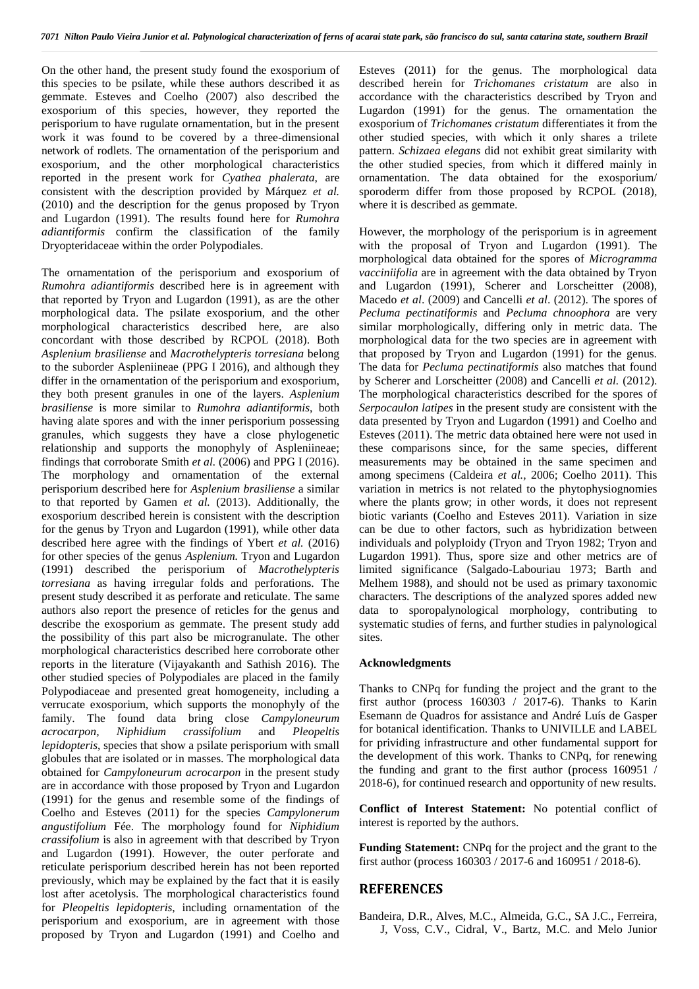On the other hand, the present study found the exosporium of this species to be psilate, while these authors described it as gemmate. Esteves and Coelho (2007) also described the exosporium of this species, however, they reported the perisporium to have rugulate ornamentation, but in the present work it was found to be covered by a three-dimensional network of rodlets. The ornamentation of the perisporium and exosporium, and the other morphological characteristics reported in the present work for *Cyathea phalerata*, are consistent with the description provided by Márquez *et al.* (2010) and the description for the genus proposed by Tryon and Lugardon (1991). The results found here for *Rumohra adiantiformis* confirm the classification of the family Dryopteridaceae within the order Polypodiales.

The ornamentation of the perisporium and exosporium of *Rumohra adiantiformis* described here is in agreement with that reported by Tryon and Lugardon (1991), as are the other morphological data. The psilate exosporium, and the other morphological characteristics described here, are also concordant with those described by RCPOL (2018). Both *Asplenium brasiliense* and *Macrothelypteris torresiana* belong to the suborder Aspleniineae (PPG I 2016), and although they differ in the ornamentation of the perisporium and exosporium, they both present granules in one of the layers. *Asplenium brasiliense* is more similar to *Rumohra adiantiformis*, both having alate spores and with the inner perisporium possessing granules, which suggests they have a close phylogenetic relationship and supports the monophyly of Aspleniineae; findings that corroborate Smith *et al.* (2006) and PPG I (2016). The morphology and ornamentation of the external perisporium described here for *Asplenium brasiliense* a similar to that reported by Gamen *et al.* (2013). Additionally, the exosporium described herein is consistent with the description for the genus by Tryon and Lugardon (1991), while other data described here agree with the findings of Ybert *et al.* (2016) for other species of the genus *Asplenium.* Tryon and Lugardon (1991) described the perisporium of *Macrothelypteris torresiana* as having irregular folds and perforations. The present study described it as perforate and reticulate. The same authors also report the presence of reticles for the genus and describe the exosporium as gemmate. The present study add the possibility of this part also be microgranulate. The other morphological characteristics described here corroborate other reports in the literature (Vijayakanth and Sathish 2016). The other studied species of Polypodiales are placed in the family Polypodiaceae and presented great homogeneity, including a verrucate exosporium, which supports the monophyly of the family. The found data bring close *Campyloneurum acrocarpon, Niphidium crassifolium* and *Pleopeltis lepidopteris*, species that show a psilate perisporium with small globules that are isolated or in masses. The morphological data obtained for *Campyloneurum acrocarpon* in the present study are in accordance with those proposed by Tryon and Lugardon (1991) for the genus and resemble some of the findings of Coelho and Esteves (2011) for the species *Campylonerum angustifolium* Fée. The morphology found for *Niphidium crassifolium* is also in agreement with that described by Tryon and Lugardon (1991). However, the outer perforate and reticulate perisporium described herein has not been reported previously, which may be explained by the fact that it is easily lost after acetolysis. The morphological characteristics found for *Pleopeltis lepidopteris*, including ornamentation of the perisporium and exosporium, are in agreement with those proposed by Tryon and Lugardon (1991) and Coelho and Esteves (2011) for the genus. The morphological data described herein for *Trichomanes cristatum* are also in accordance with the characteristics described by Tryon and Lugardon (1991) for the genus. The ornamentation the exosporium of *Trichomanes cristatum* differentiates it from the other studied species, with which it only shares a trilete pattern. *Schizaea elegans* did not exhibit great similarity with the other studied species, from which it differed mainly in ornamentation. The data obtained for the exosporium/ sporoderm differ from those proposed by RCPOL (2018), where it is described as gemmate.

However, the morphology of the perisporium is in agreement with the proposal of Tryon and Lugardon (1991). The morphological data obtained for the spores of *Microgramma vacciniifolia* are in agreement with the data obtained by Tryon and Lugardon (1991), Scherer and Lorscheitter (2008), Macedo *et al*. (2009) and Cancelli *et al*. (2012). The spores of *Pecluma pectinatiformis* and *Pecluma chnoophora* are very similar morphologically, differing only in metric data. The morphological data for the two species are in agreement with that proposed by Tryon and Lugardon (1991) for the genus. The data for *Pecluma pectinatiformis* also matches that found by Scherer and Lorscheitter (2008) and Cancelli *et al.* (2012). The morphological characteristics described for the spores of *Serpocaulon latipes* in the present study are consistent with the data presented by Tryon and Lugardon (1991) and Coelho and Esteves (2011). The metric data obtained here were not used in these comparisons since, for the same species, different measurements may be obtained in the same specimen and among specimens (Caldeira *et al.,* 2006; Coelho 2011). This variation in metrics is not related to the phytophysiognomies where the plants grow; in other words, it does not represent biotic variants (Coelho and Esteves 2011). Variation in size can be due to other factors, such as hybridization between individuals and polyploidy (Tryon and Tryon 1982; Tryon and Lugardon 1991). Thus, spore size and other metrics are of limited significance (Salgado-Labouriau 1973; Barth and Melhem 1988), and should not be used as primary taxonomic characters. The descriptions of the analyzed spores added new data to sporopalynological morphology, contributing to systematic studies of ferns, and further studies in palynological sites.

### **Acknowledgments**

Thanks to CNPq for funding the project and the grant to the first author (process 160303 / 2017-6). Thanks to Karin Esemann de Quadros for assistance and André Luís de Gasper for botanical identification. Thanks to UNIVILLE and LABEL for prividing infrastructure and other fundamental support for the development of this work. Thanks to CNPq, for renewing the funding and grant to the first author (process 160951 / 2018-6), for continued research and opportunity of new results.

**Conflict of Interest Statement:** No potential conflict of interest is reported by the authors.

**Funding Statement:** CNPq for the project and the grant to the first author (process 160303 / 2017-6 and 160951 / 2018-6).

### **REFERENCES**

Bandeira, D.R., Alves, M.C., Almeida, G.C., SA J.C., Ferreira, J, Voss, C.V., Cidral, V., Bartz, M.C. and Melo Junior